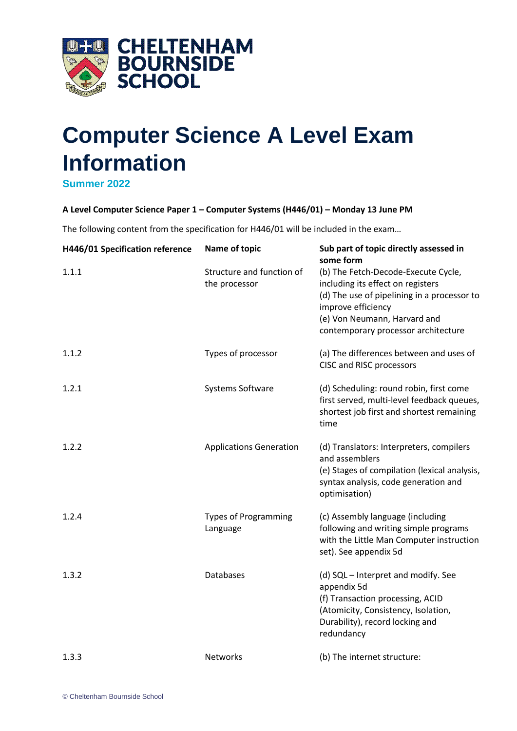

## **Computer Science A Level Exam Information**

**Summer 2022**

## **A Level Computer Science Paper 1 – Computer Systems (H446/01) – Monday 13 June PM**

The following content from the specification for H446/01 will be included in the exam…

| H446/01 Specification reference | Name of topic                              | Sub part of topic directly assessed in<br>some form                                                                                                                                                                  |
|---------------------------------|--------------------------------------------|----------------------------------------------------------------------------------------------------------------------------------------------------------------------------------------------------------------------|
| 1.1.1                           | Structure and function of<br>the processor | (b) The Fetch-Decode-Execute Cycle,<br>including its effect on registers<br>(d) The use of pipelining in a processor to<br>improve efficiency<br>(e) Von Neumann, Harvard and<br>contemporary processor architecture |
| 1.1.2                           | Types of processor                         | (a) The differences between and uses of<br>CISC and RISC processors                                                                                                                                                  |
| 1.2.1                           | Systems Software                           | (d) Scheduling: round robin, first come<br>first served, multi-level feedback queues,<br>shortest job first and shortest remaining<br>time                                                                           |
| 1.2.2                           | <b>Applications Generation</b>             | (d) Translators: Interpreters, compilers<br>and assemblers<br>(e) Stages of compilation (lexical analysis,<br>syntax analysis, code generation and<br>optimisation)                                                  |
| 1.2.4                           | <b>Types of Programming</b><br>Language    | (c) Assembly language (including<br>following and writing simple programs<br>with the Little Man Computer instruction<br>set). See appendix 5d                                                                       |
| 1.3.2                           | <b>Databases</b>                           | (d) SQL - Interpret and modify. See<br>appendix 5d<br>(f) Transaction processing, ACID<br>(Atomicity, Consistency, Isolation,<br>Durability), record locking and<br>redundancy                                       |
| 1.3.3                           | <b>Networks</b>                            | (b) The internet structure:                                                                                                                                                                                          |